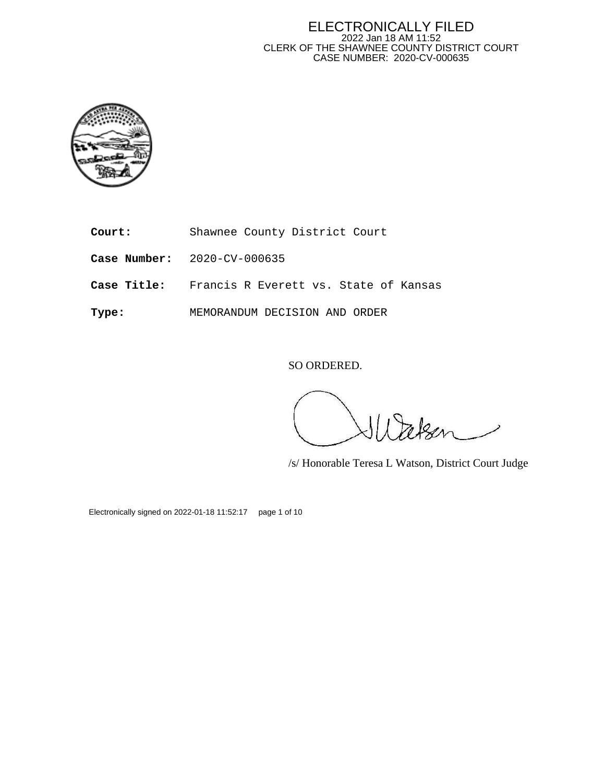

- **Court:** Shawnee County District Court
- **Case Number:** 2020-CV-000635
- **Case Title:** Francis R Everett vs. State of Kansas
- **Type:** MEMORANDUM DECISION AND ORDER

SO ORDERED.

/s/ Honorable Teresa L Watson, District Court Judge

Electronically signed on 2022-01-18 11:52:17 page 1 of 10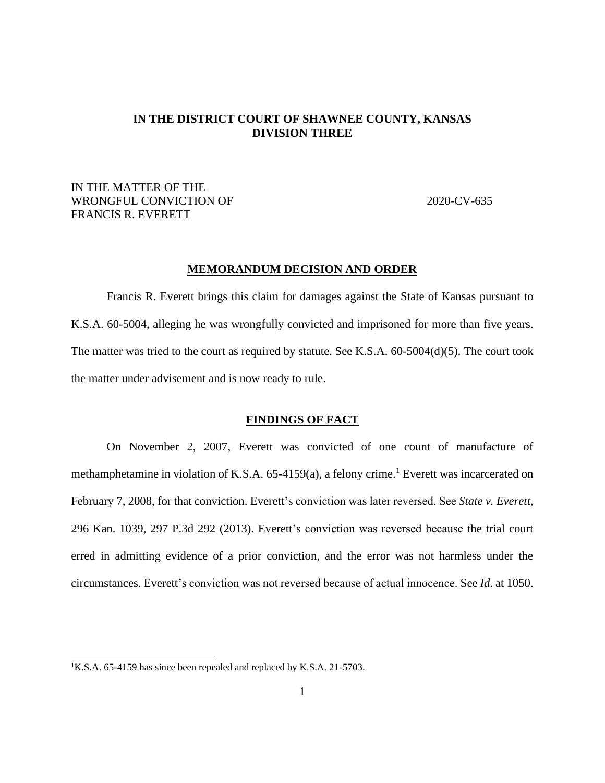## **IN THE DISTRICT COURT OF SHAWNEE COUNTY, KANSAS DIVISION THREE**

# IN THE MATTER OF THE WRONGFUL CONVICTION OF 2020-CV-635 FRANCIS R. EVERETT

#### **MEMORANDUM DECISION AND ORDER**

Francis R. Everett brings this claim for damages against the State of Kansas pursuant to K.S.A. 60-5004, alleging he was wrongfully convicted and imprisoned for more than five years. The matter was tried to the court as required by statute. See K.S.A. 60-5004(d)(5). The court took the matter under advisement and is now ready to rule.

#### **FINDINGS OF FACT**

On November 2, 2007, Everett was convicted of one count of manufacture of methamphetamine in violation of K.S.A.  $65-4159(a)$ , a felony crime.<sup>1</sup> Everett was incarcerated on February 7, 2008, for that conviction. Everett's conviction was later reversed. See *State v. Everett,* 296 Kan. 1039, 297 P.3d 292 (2013). Everett's conviction was reversed because the trial court erred in admitting evidence of a prior conviction, and the error was not harmless under the circumstances. Everett's conviction was not reversed because of actual innocence. See *Id*. at 1050.

<sup>&</sup>lt;sup>1</sup>K.S.A. 65-4159 has since been repealed and replaced by K.S.A. 21-5703.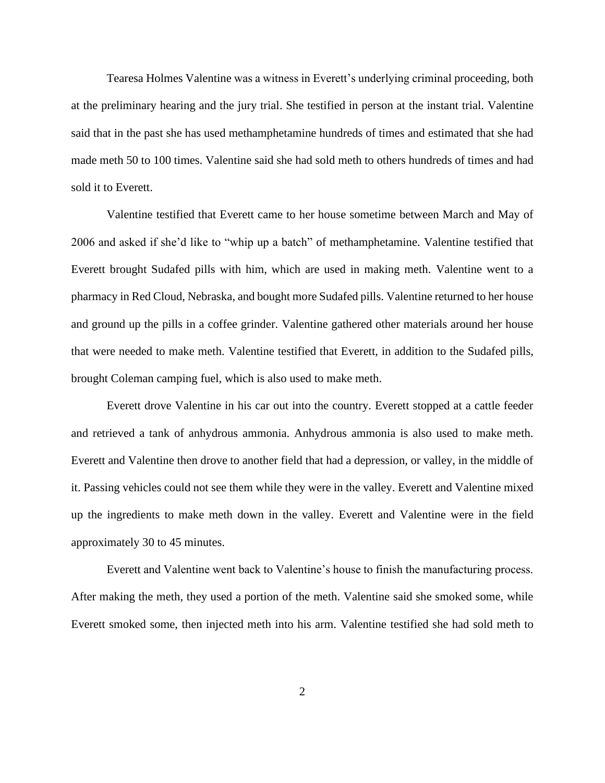Tearesa Holmes Valentine was a witness in Everett's underlying criminal proceeding, both at the preliminary hearing and the jury trial. She testified in person at the instant trial. Valentine said that in the past she has used methamphetamine hundreds of times and estimated that she had made meth 50 to 100 times. Valentine said she had sold meth to others hundreds of times and had sold it to Everett.

Valentine testified that Everett came to her house sometime between March and May of 2006 and asked if she'd like to "whip up a batch" of methamphetamine. Valentine testified that Everett brought Sudafed pills with him, which are used in making meth. Valentine went to a pharmacy in Red Cloud, Nebraska, and bought more Sudafed pills. Valentine returned to her house and ground up the pills in a coffee grinder. Valentine gathered other materials around her house that were needed to make meth. Valentine testified that Everett, in addition to the Sudafed pills, brought Coleman camping fuel, which is also used to make meth.

Everett drove Valentine in his car out into the country. Everett stopped at a cattle feeder and retrieved a tank of anhydrous ammonia. Anhydrous ammonia is also used to make meth. Everett and Valentine then drove to another field that had a depression, or valley, in the middle of it. Passing vehicles could not see them while they were in the valley. Everett and Valentine mixed up the ingredients to make meth down in the valley. Everett and Valentine were in the field approximately 30 to 45 minutes.

Everett and Valentine went back to Valentine's house to finish the manufacturing process. After making the meth, they used a portion of the meth. Valentine said she smoked some, while Everett smoked some, then injected meth into his arm. Valentine testified she had sold meth to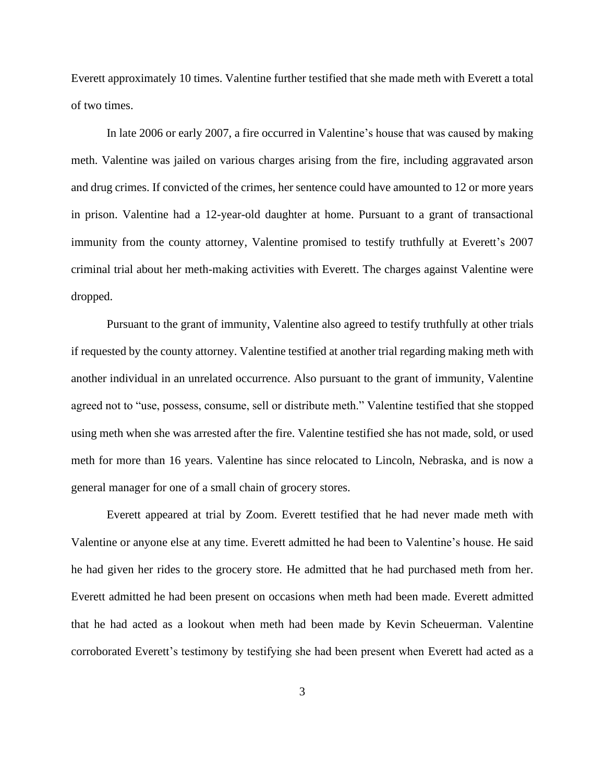Everett approximately 10 times. Valentine further testified that she made meth with Everett a total of two times.

In late 2006 or early 2007, a fire occurred in Valentine's house that was caused by making meth. Valentine was jailed on various charges arising from the fire, including aggravated arson and drug crimes. If convicted of the crimes, her sentence could have amounted to 12 or more years in prison. Valentine had a 12-year-old daughter at home. Pursuant to a grant of transactional immunity from the county attorney, Valentine promised to testify truthfully at Everett's 2007 criminal trial about her meth-making activities with Everett. The charges against Valentine were dropped.

Pursuant to the grant of immunity, Valentine also agreed to testify truthfully at other trials if requested by the county attorney. Valentine testified at another trial regarding making meth with another individual in an unrelated occurrence. Also pursuant to the grant of immunity, Valentine agreed not to "use, possess, consume, sell or distribute meth." Valentine testified that she stopped using meth when she was arrested after the fire. Valentine testified she has not made, sold, or used meth for more than 16 years. Valentine has since relocated to Lincoln, Nebraska, and is now a general manager for one of a small chain of grocery stores.

Everett appeared at trial by Zoom. Everett testified that he had never made meth with Valentine or anyone else at any time. Everett admitted he had been to Valentine's house. He said he had given her rides to the grocery store. He admitted that he had purchased meth from her. Everett admitted he had been present on occasions when meth had been made. Everett admitted that he had acted as a lookout when meth had been made by Kevin Scheuerman. Valentine corroborated Everett's testimony by testifying she had been present when Everett had acted as a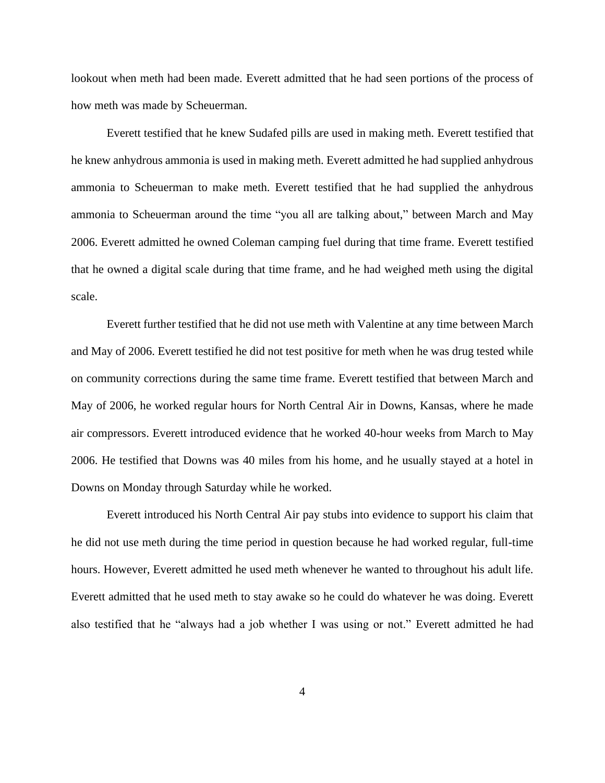lookout when meth had been made. Everett admitted that he had seen portions of the process of how meth was made by Scheuerman.

Everett testified that he knew Sudafed pills are used in making meth. Everett testified that he knew anhydrous ammonia is used in making meth. Everett admitted he had supplied anhydrous ammonia to Scheuerman to make meth. Everett testified that he had supplied the anhydrous ammonia to Scheuerman around the time "you all are talking about," between March and May 2006. Everett admitted he owned Coleman camping fuel during that time frame. Everett testified that he owned a digital scale during that time frame, and he had weighed meth using the digital scale.

Everett further testified that he did not use meth with Valentine at any time between March and May of 2006. Everett testified he did not test positive for meth when he was drug tested while on community corrections during the same time frame. Everett testified that between March and May of 2006, he worked regular hours for North Central Air in Downs, Kansas, where he made air compressors. Everett introduced evidence that he worked 40-hour weeks from March to May 2006. He testified that Downs was 40 miles from his home, and he usually stayed at a hotel in Downs on Monday through Saturday while he worked.

Everett introduced his North Central Air pay stubs into evidence to support his claim that he did not use meth during the time period in question because he had worked regular, full-time hours. However, Everett admitted he used meth whenever he wanted to throughout his adult life. Everett admitted that he used meth to stay awake so he could do whatever he was doing. Everett also testified that he "always had a job whether I was using or not." Everett admitted he had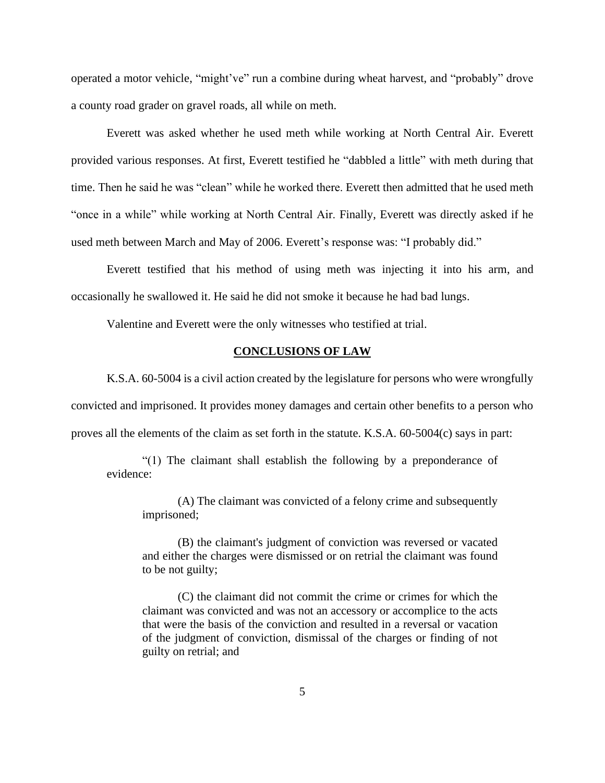operated a motor vehicle, "might've" run a combine during wheat harvest, and "probably" drove a county road grader on gravel roads, all while on meth.

Everett was asked whether he used meth while working at North Central Air. Everett provided various responses. At first, Everett testified he "dabbled a little" with meth during that time. Then he said he was "clean" while he worked there. Everett then admitted that he used meth "once in a while" while working at North Central Air. Finally, Everett was directly asked if he used meth between March and May of 2006. Everett's response was: "I probably did."

Everett testified that his method of using meth was injecting it into his arm, and occasionally he swallowed it. He said he did not smoke it because he had bad lungs.

Valentine and Everett were the only witnesses who testified at trial.

## **CONCLUSIONS OF LAW**

K.S.A. 60-5004 is a civil action created by the legislature for persons who were wrongfully convicted and imprisoned. It provides money damages and certain other benefits to a person who

proves all the elements of the claim as set forth in the statute. K.S.A. 60-5004(c) says in part:

"(1) The claimant shall establish the following by a preponderance of evidence:

(A) The claimant was convicted of a felony crime and subsequently imprisoned;

(B) the claimant's judgment of conviction was reversed or vacated and either the charges were dismissed or on retrial the claimant was found to be not guilty;

(C) the claimant did not commit the crime or crimes for which the claimant was convicted and was not an accessory or accomplice to the acts that were the basis of the conviction and resulted in a reversal or vacation of the judgment of conviction, dismissal of the charges or finding of not guilty on retrial; and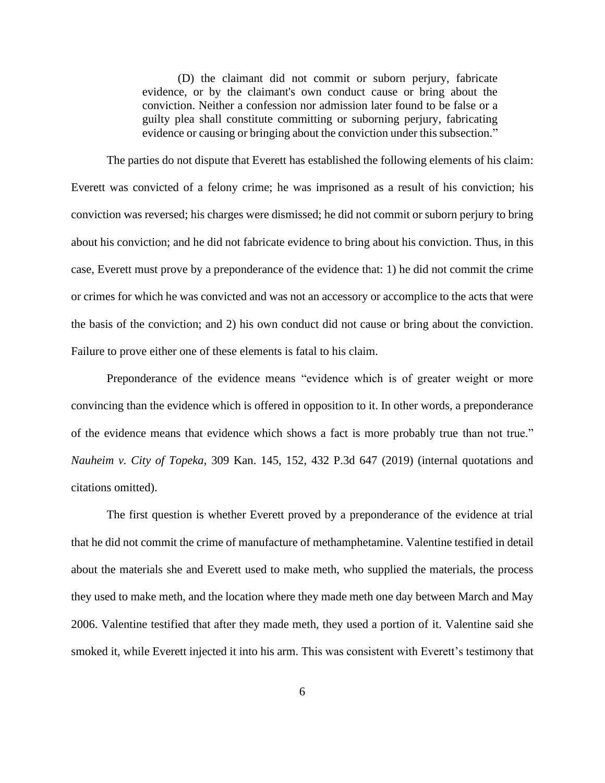(D) the claimant did not commit or suborn perjury, fabricate evidence, or by the claimant's own conduct cause or bring about the conviction. Neither a confession nor admission later found to be false or a guilty plea shall constitute committing or suborning perjury, fabricating evidence or causing or bringing about the conviction under this subsection."

The parties do not dispute that Everett has established the following elements of his claim: Everett was convicted of a felony crime; he was imprisoned as a result of his conviction; his conviction was reversed; his charges were dismissed; he did not commit or suborn perjury to bring about his conviction; and he did not fabricate evidence to bring about his conviction. Thus, in this case, Everett must prove by a preponderance of the evidence that: 1) he did not commit the crime or crimes for which he was convicted and was not an accessory or accomplice to the acts that were the basis of the conviction; and 2) his own conduct did not cause or bring about the conviction. Failure to prove either one of these elements is fatal to his claim.

Preponderance of the evidence means "evidence which is of greater weight or more convincing than the evidence which is offered in opposition to it. In other words, a preponderance of the evidence means that evidence which shows a fact is more probably true than not true." *Nauheim v. City of Topeka,* 309 Kan. 145, 152, 432 P.3d 647 (2019) (internal quotations and citations omitted).

The first question is whether Everett proved by a preponderance of the evidence at trial that he did not commit the crime of manufacture of methamphetamine. Valentine testified in detail about the materials she and Everett used to make meth, who supplied the materials, the process they used to make meth, and the location where they made meth one day between March and May 2006. Valentine testified that after they made meth, they used a portion of it. Valentine said she smoked it, while Everett injected it into his arm. This was consistent with Everett's testimony that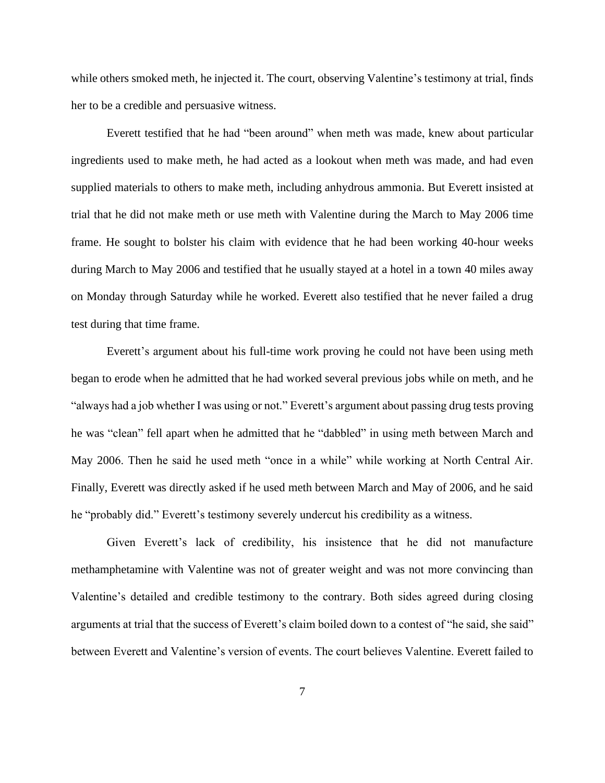while others smoked meth, he injected it. The court, observing Valentine's testimony at trial, finds her to be a credible and persuasive witness.

Everett testified that he had "been around" when meth was made, knew about particular ingredients used to make meth, he had acted as a lookout when meth was made, and had even supplied materials to others to make meth, including anhydrous ammonia. But Everett insisted at trial that he did not make meth or use meth with Valentine during the March to May 2006 time frame. He sought to bolster his claim with evidence that he had been working 40-hour weeks during March to May 2006 and testified that he usually stayed at a hotel in a town 40 miles away on Monday through Saturday while he worked. Everett also testified that he never failed a drug test during that time frame.

Everett's argument about his full-time work proving he could not have been using meth began to erode when he admitted that he had worked several previous jobs while on meth, and he "always had a job whether I was using or not." Everett's argument about passing drug tests proving he was "clean" fell apart when he admitted that he "dabbled" in using meth between March and May 2006. Then he said he used meth "once in a while" while working at North Central Air. Finally, Everett was directly asked if he used meth between March and May of 2006, and he said he "probably did." Everett's testimony severely undercut his credibility as a witness.

Given Everett's lack of credibility, his insistence that he did not manufacture methamphetamine with Valentine was not of greater weight and was not more convincing than Valentine's detailed and credible testimony to the contrary. Both sides agreed during closing arguments at trial that the success of Everett's claim boiled down to a contest of "he said, she said" between Everett and Valentine's version of events. The court believes Valentine. Everett failed to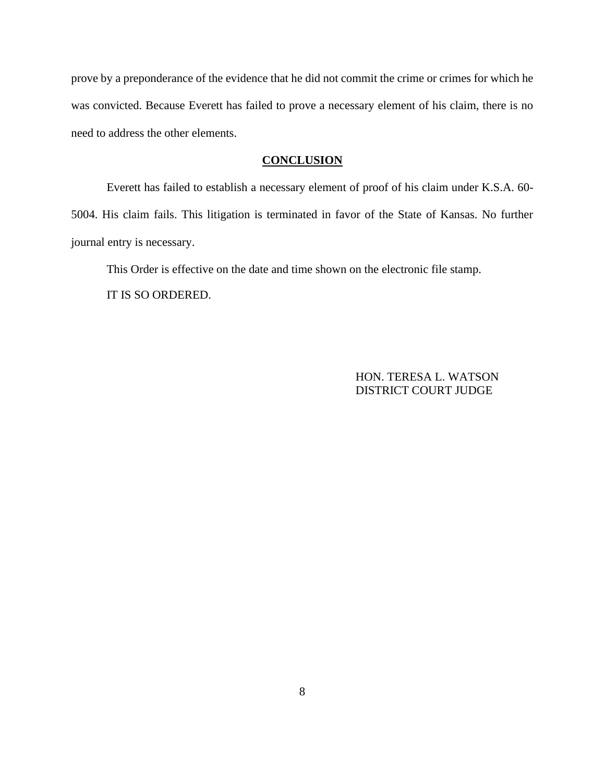prove by a preponderance of the evidence that he did not commit the crime or crimes for which he was convicted. Because Everett has failed to prove a necessary element of his claim, there is no need to address the other elements.

## **CONCLUSION**

Everett has failed to establish a necessary element of proof of his claim under K.S.A. 60- 5004. His claim fails. This litigation is terminated in favor of the State of Kansas. No further journal entry is necessary.

This Order is effective on the date and time shown on the electronic file stamp. IT IS SO ORDERED.

> HON. TERESA L. WATSON DISTRICT COURT JUDGE